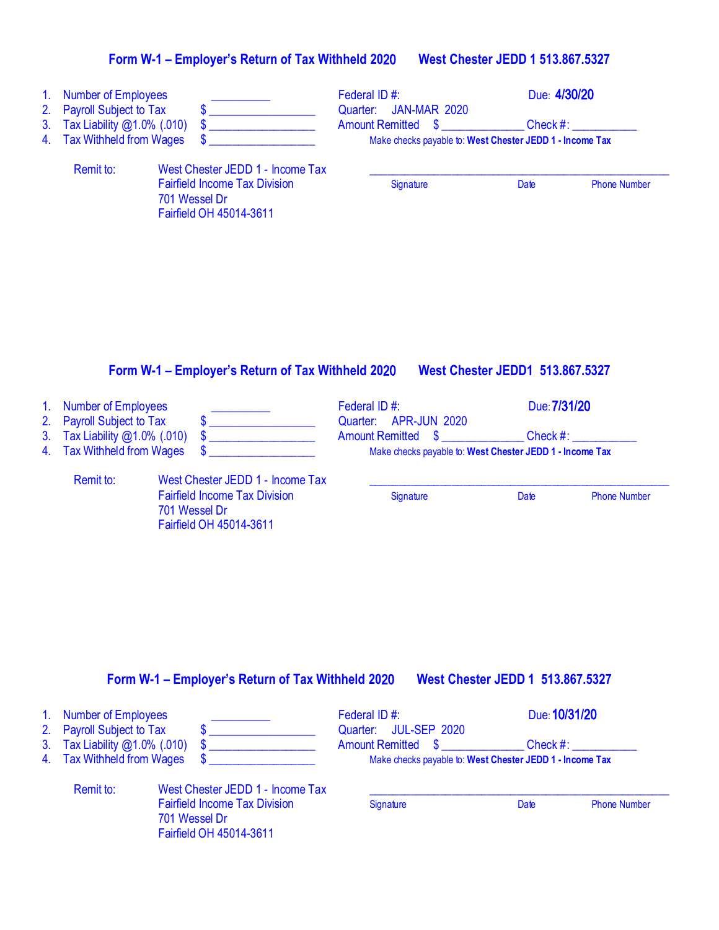## **Form W-1 – Employer's Return of Tax Withheld 20**20 **West Chester JEDD 1 513.867.5327**

| 1 <sub>1</sub><br>2 <sub>1</sub><br>3 <sub>1</sub><br>4. | <b>Number of Employees</b><br><b>Payroll Subject to Tax</b><br>\$<br>Tax Liability @1.0% (.010)<br>\$<br><b>Tax Withheld from Wages</b><br>\$. |                                                                                                                      | Federal ID#:<br><b>JAN-MAR 2020</b><br>Quarter:<br><b>Amount Remitted</b><br>- \$ | Due: 4/30/20<br>$Check \#:$<br>Make checks payable to: West Chester JEDD 1 - Income Tax |                     |  |
|----------------------------------------------------------|------------------------------------------------------------------------------------------------------------------------------------------------|----------------------------------------------------------------------------------------------------------------------|-----------------------------------------------------------------------------------|-----------------------------------------------------------------------------------------|---------------------|--|
|                                                          | Remit to:                                                                                                                                      | West Chester JEDD 1 - Income Tax<br><b>Fairfield Income Tax Division</b><br>701 Wessel Dr<br>Fairfield OH 45014-3611 | Signature                                                                         | Date                                                                                    | <b>Phone Number</b> |  |
|                                                          |                                                                                                                                                | Form W-1 - Employer's Return of Tax Withheld 2020                                                                    |                                                                                   | <b>West Chester JEDD1 513.867.5327</b>                                                  |                     |  |

| 1. Number of Employees<br>2. Payroll Subject to Tax |                                                                                  | Federal ID#:<br>Quarter: APR-JUN 2020                    | Due: 7/31/20 |                     |
|-----------------------------------------------------|----------------------------------------------------------------------------------|----------------------------------------------------------|--------------|---------------------|
| 3. Tax Liability @1.0% (.010)                       |                                                                                  | <b>Amount Remitted</b><br><b>S</b>                       | Check $#$ :  |                     |
| 4. Tax Withheld from Wages                          |                                                                                  | Make checks payable to: West Chester JEDD 1 - Income Tax |              |                     |
| Remit to:                                           | West Chester JEDD 1 - Income Tax                                                 |                                                          |              |                     |
|                                                     | <b>Fairfield Income Tax Division</b><br>701 Wessel Dr<br>Fairfield OH 45014-3611 | Signature                                                | Date         | <b>Phone Number</b> |

#### **Form W-1 – Employer's Return of Tax Withheld 20**20 **West Chester JEDD 1 513.867.5327**

| 1. Number of Employees                                                                      |                                                                          | Federal ID #:                                                                                                                 |      | Due: 10/31/20       |
|---------------------------------------------------------------------------------------------|--------------------------------------------------------------------------|-------------------------------------------------------------------------------------------------------------------------------|------|---------------------|
| 2. Payroll Subject to Tax<br>3. Tax Liability $@1.0\%$ (.010)<br>4. Tax Withheld from Wages |                                                                          | Quarter: JUL-SEP 2020<br><b>Amount Remitted \$</b><br>$Check \#:$<br>Make checks payable to: West Chester JEDD 1 - Income Tax |      |                     |
| Remit to:                                                                                   | West Chester JEDD 1 - Income Tax<br><b>Fairfield Income Tax Division</b> | Signature                                                                                                                     | Date | <b>Phone Number</b> |
|                                                                                             | 701 Wessel Dr<br>Fairfield OH 45014-3611                                 |                                                                                                                               |      |                     |